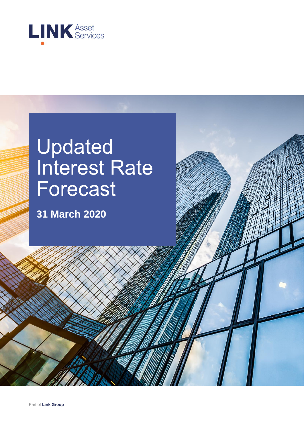

# Updated Interest Rate Forecast

**31 March 2020**

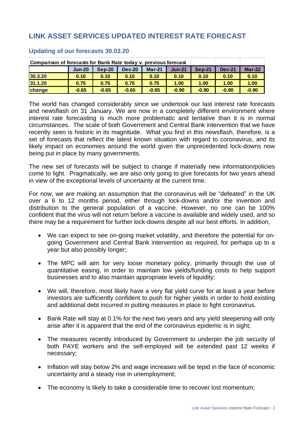# **LINK ASSET SERVICES UPDATED INTEREST RATE FORECAST**

| Comparison of forecasts for Bank Rate today v. previous forecast |          |         |               |          |          |               |               |               |
|------------------------------------------------------------------|----------|---------|---------------|----------|----------|---------------|---------------|---------------|
|                                                                  | $Jun-20$ | Sep-20  | <b>Dec-20</b> | $Mar-21$ | $Jun-21$ | <b>Sep-21</b> | <b>Dec-21</b> | <b>Mar-22</b> |
| 30.3.20                                                          | 0.10     | 0.10    | 0.10          | 0.10     | 0.10     | 0.10          | 0.10          | 0.10          |
| 31.1.20                                                          | 0.75     | 0.75    | 0.75          | 0.75     | 1.00     | 1.00          | 1.00          | 1.00          |
| change                                                           | $-0.65$  | $-0.65$ | $-0.65$       | $-0.65$  | $-0.90$  | $-0.90$       | $-0.90$       | $-0.90$       |

#### **Updating of our forecasts 30.03.20**

The world has changed considerably since we undertook our last interest rate forecasts and newsflash on 31 January. We are now in a completely different environment where interest rate forecasting is much more problematic and tentative than it is in normal circumstances. The scale of both Government and Central Bank intervention that we have recently seen is historic in its magnitude. What you find in this newsflash, therefore, is a set of forecasts that reflect the latest known situation with regard to coronavirus, and its likely impact on economies around the world given the unprecedented lock-downs now being put in place by many governments.

The new set of forecasts will be subject to change if materially new information/policies come to light. Pragmatically, we are also only going to give forecasts for two years ahead in view of the exceptional levels of uncertainty at the current time.

For now, we are making an assumption that the coronavirus will be "defeated" in the UK over a 6 to 12 months period, either through lock-downs and/or the invention and distribution to the general population of a vaccine. However, no one can be 100% confident that the virus will not return before a vaccine is available and widely used, and so there may be a requirement for further lock-downs despite all our best efforts. In addition,

- We can expect to see on-going market volatility, and therefore the potential for ongoing Government and Central Bank intervention as required, for perhaps up to a year but also possibly longer;
- The MPC will aim for very loose monetary policy, primarily through the use of quantitative easing, in order to maintain low yields/funding costs to help support businesses and to also maintain appropriate levels of liquidity;
- We will, therefore, most likely have a very flat yield curve for at least a year before investors are sufficiently confident to push for higher yields in order to hold existing and additional debt incurred in putting measures in place to fight coronavirus.
- Bank Rate will stay at 0.1% for the next two years and any yield steepening will only arise after it is apparent that the end of the coronavirus epidemic is in sight;
- The measures recently introduced by Government to underpin the job security of both PAYE workers and the self-employed will be extended past 12 weeks if necessary;
- Inflation will stay below 2% and wage increases will be tepid in the face of economic uncertainty and a steady rise in unemployment;
- The economy is likely to take a considerable time to recover lost momentum;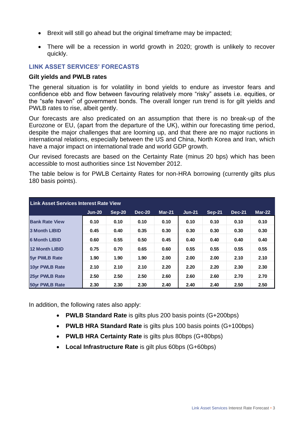- Brexit will still go ahead but the original timeframe may be impacted;
- There will be a recession in world growth in 2020; growth is unlikely to recover quickly.

## **LINK ASSET SERVICES' FORECASTS**

#### **Gilt yields and PWLB rates**

The general situation is for volatility in bond yields to endure as investor fears and confidence ebb and flow between favouring relatively more "risky" assets i.e. equities, or the "safe haven" of government bonds. The overall longer run trend is for gilt yields and PWLB rates to rise, albeit gently.

Our forecasts are also predicated on an assumption that there is no break-up of the Eurozone or EU, (apart from the departure of the UK), within our forecasting time period, despite the major challenges that are looming up, and that there are no major ructions in international relations, especially between the US and China, North Korea and Iran, which have a major impact on international trade and world GDP growth.

Our revised forecasts are based on the Certainty Rate (minus 20 bps) which has been accessible to most authorities since 1st November 2012.

The table below is for PWLB Certainty Rates for non-HRA borrowing (currently gilts plus 180 basis points).

| Link Asset Services Interest Rate View |          |        |               |          |          |               |               |          |
|----------------------------------------|----------|--------|---------------|----------|----------|---------------|---------------|----------|
|                                        | $Jun-20$ | Sep-20 | <b>Dec-20</b> | $Mar-21$ | $Jun-21$ | <b>Sep-21</b> | <b>Dec-21</b> | $Mar-22$ |
| <b>Bank Rate View</b>                  | 0.10     | 0.10   | 0.10          | 0.10     | 0.10     | 0.10          | 0.10          | 0.10     |
| <b>3 Month LIBID</b>                   | 0.45     | 0.40   | 0.35          | 0.30     | 0.30     | 0.30          | 0.30          | 0.30     |
| <b>6 Month LIBID</b>                   | 0.60     | 0.55   | 0.50          | 0.45     | 0.40     | 0.40          | 0.40          | 0.40     |
| 12 Month LIBID                         | 0.75     | 0.70   | 0.65          | 0.60     | 0.55     | 0.55          | 0.55          | 0.55     |
| <b>5yr PWLB Rate</b>                   | 1.90     | 1.90   | 1.90          | 2.00     | 2.00     | 2.00          | 2.10          | 2.10     |
| 10vr PWLB Rate                         | 2.10     | 2.10   | 2.10          | 2.20     | 2.20     | 2.20          | 2.30          | 2.30     |
| 25vr PWLB Rate                         | 2.50     | 2.50   | 2.50          | 2.60     | 2.60     | 2.60          | 2.70          | 2.70     |
| <b>50vr PWLB Rate</b>                  | 2.30     | 2.30   | 2.30          | 2.40     | 2.40     | 2.40          | 2.50          | 2.50     |

In addition, the following rates also apply:

- **PWLB Standard Rate** is gilts plus 200 basis points (G+200bps)
- **PWLB HRA Standard Rate** is gilts plus 100 basis points (G+100bps)
- **PWLB HRA Certainty Rate** is gilts plus 80bps (G+80bps)
- **Local Infrastructure Rate** is gilt plus 60bps (G+60bps)